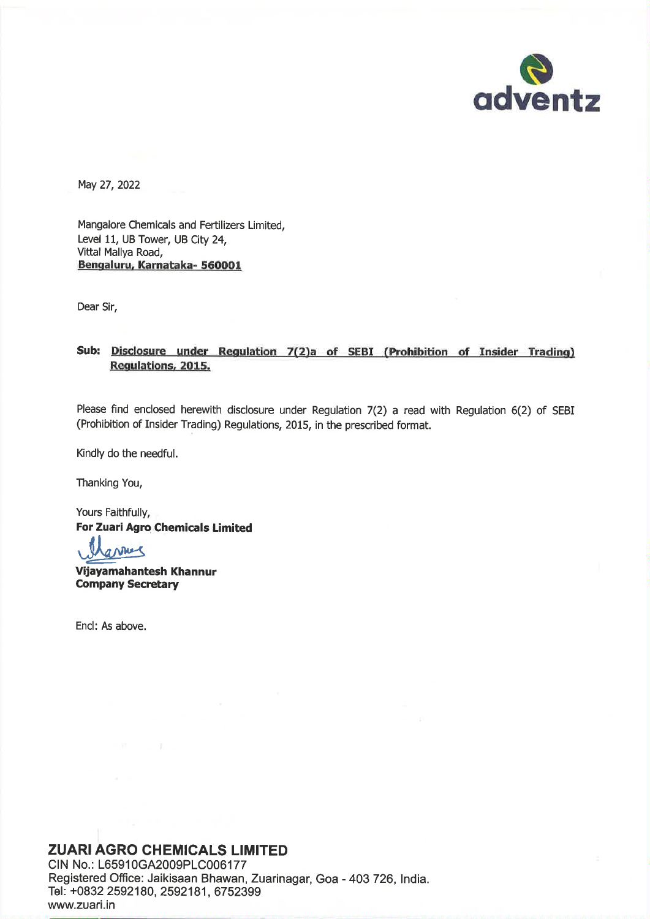

May 27, 2022

Mangalore Chemicals and Fertilizers Limited, Level 11, UB Tower, UB City 24, Vittal Mallya Road, Bengaluru, Karnataka- 560001

Dear Sir,

# Sub: Disclosure under Regulation 7(2)a of SEBI (Prohibition of Insider Trading) **Regulations, 2015.**

Please find enclosed herewith disclosure under Regulation 7(2) a read with Regulation 6(2) of SEBI (Prohibition of Insider Trading) Regulations, 2015, in the prescribed format.

Kindly do the needful.

Thanking You,

Yours Faithfully, **For Zuari Agro Chemicals Limited** 

annes

Vijayamahantesh Khannur **Company Secretary** 

Encl: As above.

# **ZUARI AGRO CHEMICALS LIMITED**

CIN No.: L65910GA2009PLC006177 Registered Office: Jaikisaan Bhawan, Zuarinagar, Goa - 403 726, India. Tel: +0832 2592180, 2592181, 6752399 www.zuari.in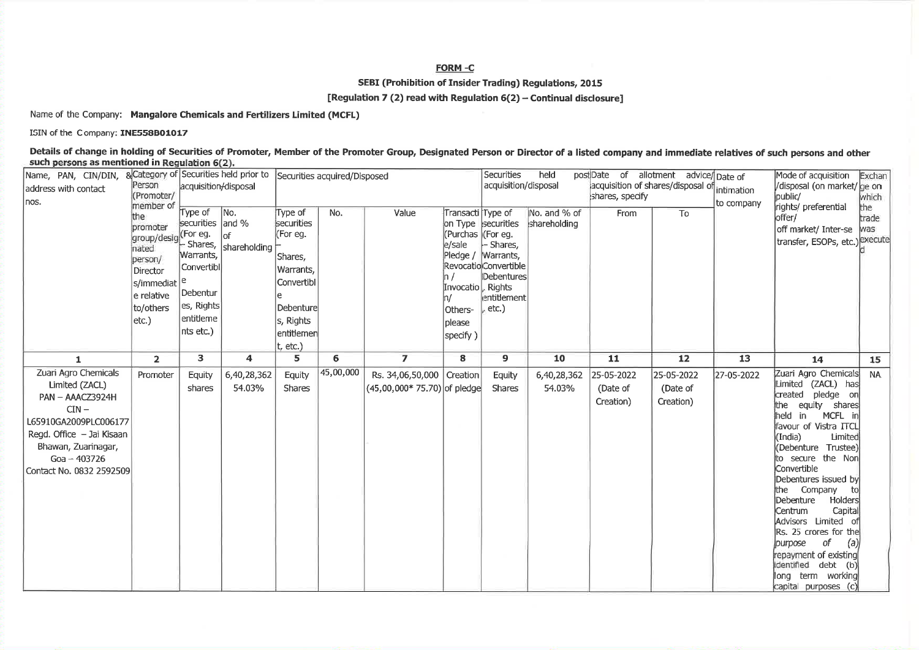## FORM-C

SEBI (Prohibition of Insider Trading) Regulations, 2015

[Regulation 7 (2) read with Regulation 6(2) - Continual disclosure]

Name of the Company: Mangalore Chemicals and Fertilizers Limited (MCFL)

ISIN of the Company: INE558B01017

Details of change in holding of Securities of Promoter, Member of the Promoter Group, Designated Person or Director of a listed company and immediate relatives of such persons and other such persons as mentioned in Regulation 6(2).

| Name, PAN, CIN/DIN,       |                      |                      | & Category of Securities held prior to Securities acquired/Disposed |            |           |                              |                     | Securities            | held         |            | post Date of allotment advice/Date of        |            | Mode of acquisition                           | Exchan    |
|---------------------------|----------------------|----------------------|---------------------------------------------------------------------|------------|-----------|------------------------------|---------------------|-----------------------|--------------|------------|----------------------------------------------|------------|-----------------------------------------------|-----------|
| address with contact      | Person               | acquisition/disposal |                                                                     |            |           |                              |                     | acquisition/disposal  |              |            | acquisition of shares/disposal of intimation |            | /disposal (on market/ ge on                   |           |
| nos.                      | (Promoter/           |                      |                                                                     |            |           |                              | shares, specify     |                       |              |            | to company                                   | bublic/    | which                                         |           |
|                           | member of<br>the     | Type of              | No.                                                                 | Type of    | No.       | Value                        | Transacti Type of   |                       | No. and % of | From       | To                                           |            | rights/preferential                           | the       |
|                           | promoter             | securities and %     |                                                                     | securities |           |                              |                     | on Type securities    | shareholding |            |                                              |            | offer/                                        | trade     |
|                           | group/desig (For eg. |                      | $ $ of                                                              | (For eq.   |           |                              | Purchas (For eg.    |                       |              |            |                                              |            | off market/ Inter-se   was                    |           |
|                           | nated                |                      | - Shares,  shareholding                                             |            |           |                              | e/sale              | $\vdash$ Shares,      |              |            |                                              |            | transfer, ESOPs, etc.) <sup>[execute</sup> ]  |           |
|                           | person/              | Warrants,            |                                                                     | Shares,    |           |                              | Pledge /            | Warrants,             |              |            |                                              |            |                                               |           |
|                           | Director             | Convertibl           |                                                                     | Warrants,  |           |                              |                     | Revocatio Convertible |              |            |                                              |            |                                               |           |
|                           | s/immediat           | e                    |                                                                     | Convertibl |           |                              |                     | Debentures            |              |            |                                              |            |                                               |           |
|                           | e relative           | Debentur             |                                                                     |            |           |                              | Invocatio  , Rights |                       |              |            |                                              |            |                                               |           |
|                           |                      | es, Rights           |                                                                     |            |           |                              |                     | entitlement           |              |            |                                              |            |                                               |           |
|                           | to/others            |                      |                                                                     | Debenture  |           |                              | Others-             | etc.)                 |              |            |                                              |            |                                               |           |
|                           | $ $ etc. $)$         | entitleme            |                                                                     | s, Rights  |           |                              | please              |                       |              |            |                                              |            |                                               |           |
|                           |                      | nts etc.)            |                                                                     | entitiemen |           |                              | specify)            |                       |              |            |                                              |            |                                               |           |
|                           |                      |                      |                                                                     | t, etc.)   |           |                              |                     |                       |              |            |                                              |            |                                               |           |
| 1                         | $\overline{2}$       | 3                    | 4                                                                   | 5          | 6         | $\overline{ }$               | 8                   | 9                     | 10           | 11         | 12                                           | 13         | 14                                            | 15        |
| Zuari Agro Chemicals      | Promoter             | <b>Equity</b>        | 6,40,28,362                                                         | Equity     | 45,00,000 | Rs. 34,06,50,000 Creation    |                     | Equity                | 6,40,28,362  | 25-05-2022 | 25-05-2022                                   | 27-05-2022 | Zuari Agro Chemicals                          | <b>NA</b> |
| Limited (ZACL)            |                      | shares               | 54.03%                                                              | Shares     |           | (45,00,000* 75.70) of pledge |                     | <b>Shares</b>         | 54.03%       | (Date of   | (Date of                                     |            | Limited (ZACL) has                            |           |
| PAN - AAACZ3924H          |                      |                      |                                                                     |            |           |                              |                     |                       |              | Creation)  | Creation)                                    |            | created pledge on                             |           |
| $CIN -$                   |                      |                      |                                                                     |            |           |                              |                     |                       |              |            |                                              |            | equity shares<br>the                          |           |
| L65910GA2009PLC006177     |                      |                      |                                                                     |            |           |                              |                     |                       |              |            |                                              |            | held in<br>MCFL in                            |           |
| Regd. Office - Jai Kisaan |                      |                      |                                                                     |            |           |                              |                     |                       |              |            |                                              |            | favour of Vistra ITCL<br>(India)<br>Limited   |           |
| Bhawan, Zuarinagar,       |                      |                      |                                                                     |            |           |                              |                     |                       |              |            |                                              |            | (Debenture Trustee)                           |           |
| $Goa - 403726$            |                      |                      |                                                                     |            |           |                              |                     |                       |              |            |                                              |            | to secure the Non                             |           |
| Contact No. 0832 2592509  |                      |                      |                                                                     |            |           |                              |                     |                       |              |            |                                              |            | Convertible                                   |           |
|                           |                      |                      |                                                                     |            |           |                              |                     |                       |              |            |                                              |            | Debentures issued by                          |           |
|                           |                      |                      |                                                                     |            |           |                              |                     |                       |              |            |                                              |            | the Company                                   |           |
|                           |                      |                      |                                                                     |            |           |                              |                     |                       |              |            |                                              |            | Debenture<br><b>Holders</b>                   |           |
|                           |                      |                      |                                                                     |            |           |                              |                     |                       |              |            |                                              |            | Centrum<br>Capital                            |           |
|                           |                      |                      |                                                                     |            |           |                              |                     |                       |              |            |                                              |            | Advisors Limited of                           |           |
|                           |                      |                      |                                                                     |            |           |                              |                     |                       |              |            |                                              |            | Rs. 25 crores for the                         |           |
|                           |                      |                      |                                                                     |            |           |                              |                     |                       |              |            |                                              |            | of<br>(a)<br>purpose                          |           |
|                           |                      |                      |                                                                     |            |           |                              |                     |                       |              |            |                                              |            | repayment of existing                         |           |
|                           |                      |                      |                                                                     |            |           |                              |                     |                       |              |            |                                              |            | identified debt (b)                           |           |
|                           |                      |                      |                                                                     |            |           |                              |                     |                       |              |            |                                              |            | term working<br>llong<br>capital purposes (c) |           |
|                           |                      |                      |                                                                     |            |           |                              |                     |                       |              |            |                                              |            |                                               |           |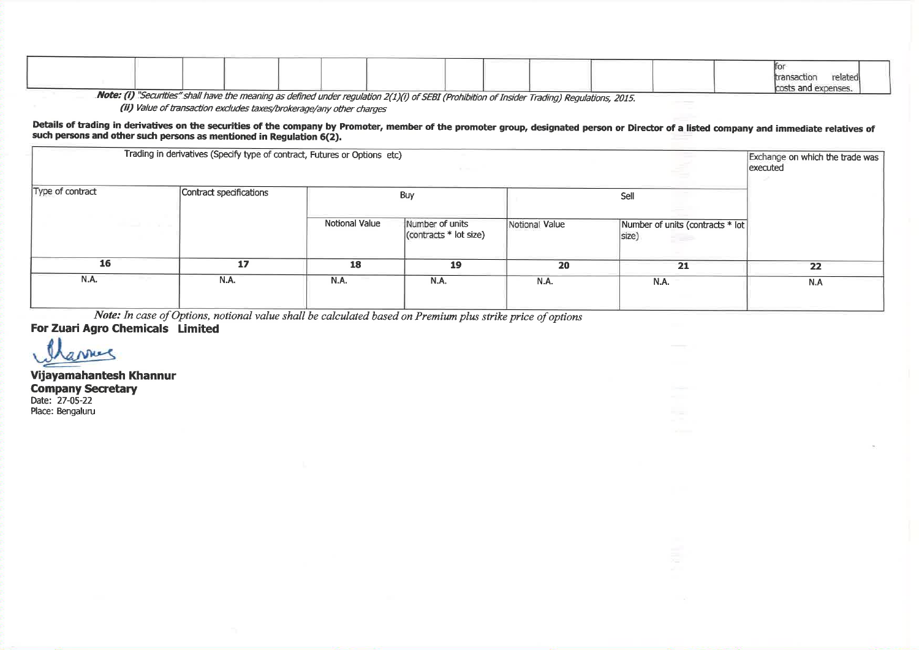|  |  |  |                                                                                                                     |  |  |  | relatedi<br>costs and expenses. |  |
|--|--|--|---------------------------------------------------------------------------------------------------------------------|--|--|--|---------------------------------|--|
|  |  |  | Note: (i) "Conviting" shall have the measure as defined under very lating $2(4)(3)$ , CCER (p. 144). $\epsilon = 1$ |  |  |  |                                 |  |

Note: (i) "Securities" shall have the meaning as defined under regulation 2(1)(i) of SEBI (Prohibition of Insider Trading) Regulations, 2015.

(ii) Value of transaction excludes taxes/brokerage/any other charges

### Details of trading in derivatives on the securities of the company by Promoter, member of the promoter group, designated person or Director of a listed company and immediate relatives of such persons and other such persons as mentioned in Regulation 6(2).

| Trading in derivatives (Specify type of contract, Futures or Options etc) | Exchange on which the trade was<br>executed |                |                                                                |                |                                                  |     |
|---------------------------------------------------------------------------|---------------------------------------------|----------------|----------------------------------------------------------------|----------------|--------------------------------------------------|-----|
| Type of contract                                                          | Contract specifications                     |                | Buy                                                            |                |                                                  |     |
| the property of the property of                                           |                                             | Notional Value | Number of units<br>$\sqrt{\frac{1}{2}}$ (contracts * lot size) | Notional Value | Number of units (contracts * lot<br>size)<br>528 |     |
| 16                                                                        | 17                                          | 18             | 19                                                             | 20             | 21                                               | 22  |
| N.A.                                                                      | <b>N.A.</b>                                 | N.A.           | N.A.                                                           | N.A.           | N.A.                                             | N.A |
|                                                                           |                                             |                |                                                                |                |                                                  |     |

Note: In case of Options, notional value shall be calculated based on Premium plus strike price of options

For Zuari Agro Chemicals Limited

arries

Vijayamahantesh Khannur **Company Secretary** Date: 27-05-22 Place: Bengaluru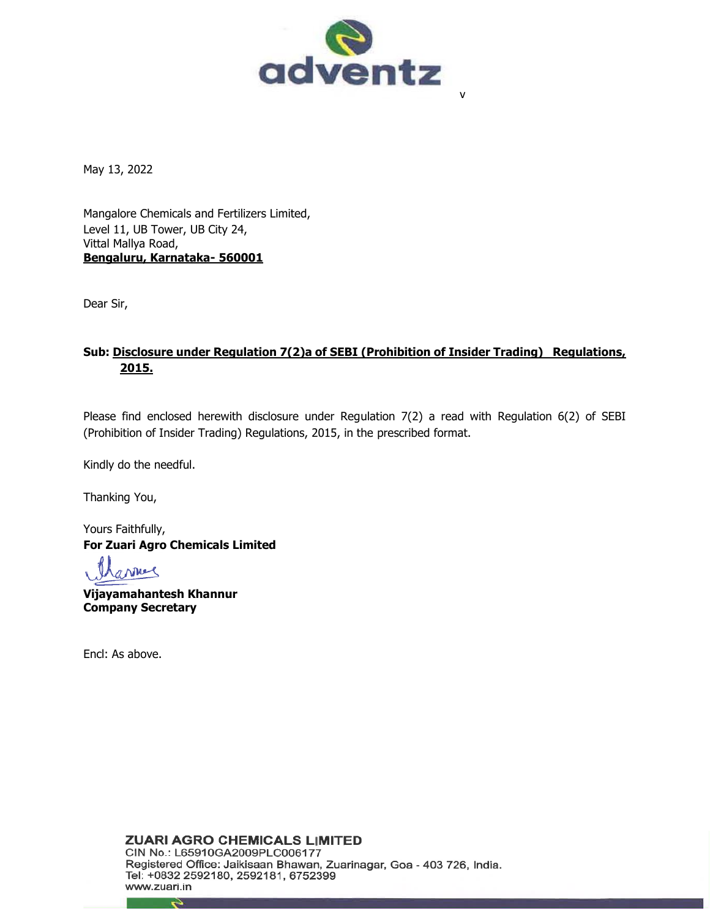

May 13, 2022

Mangalore Chemicals and Fertilizers Limited, Level 11, UB Tower, UB City 24, Vittal Mallya Road, **Bengaluru, Karnataka- 560001** 

Dear Sir,

# **Sub: Disclosure under Regulation 7(2)a of SEBI (Prohibition of Insider Trading) Regulations, 2015.**

Please find enclosed herewith disclosure under Regulation 7(2) a read with Regulation 6(2) of SEBI (Prohibition of Insider Trading) Regulations, 2015, in the prescribed format.

Kindly do the needful.

Thanking You,

Yours Faithfully, **For Zuari Agro Chemicals Limited**

arring

**Vijayamahantesh Khannur Company Secretary**

Encl: As above.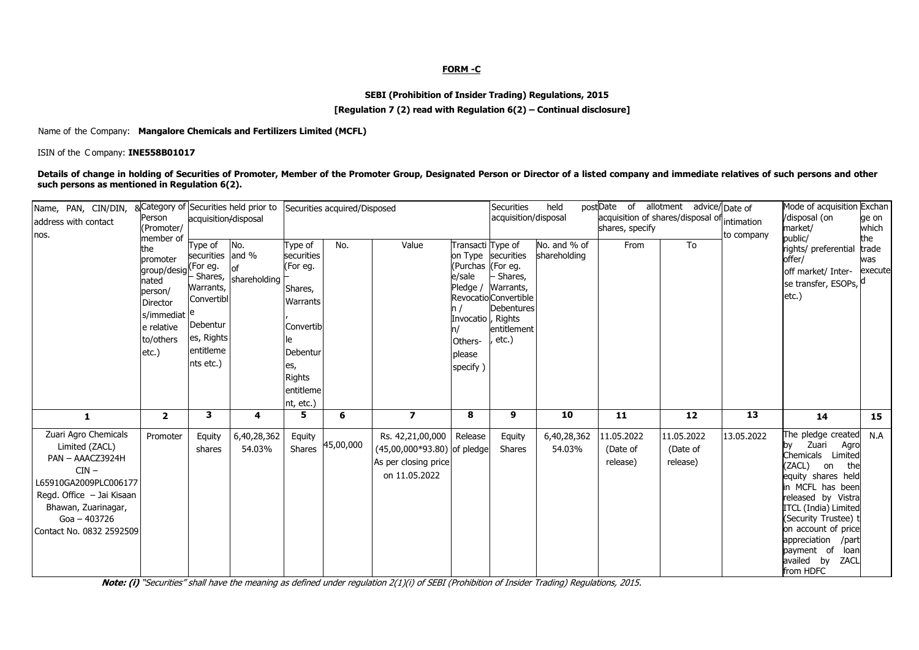### **FORM -C**

## **SEBI (Prohibition of Insider Trading) Regulations, 2015**

### **[Regulation 7 (2) read with Regulation 6(2) – Continual disclosure]**

#### Name of the Company: **Mangalore Chemicals and Fertilizers Limited (MCFL)**

#### ISIN of the C ompany: **INE558B01017**

**Details of change in holding of Securities of Promoter, Member of the Promoter Group, Designated Person or Director of a listed company and immediate relatives of such persons and other such persons as mentioned in Regulation 6(2).**

| Name, PAN, CIN/DIN,<br>address with contact                                                                                                                                                        | Person<br>(Promoter/<br>member of<br>the<br>promoter<br>group/desig For eg.<br>nated<br>person/<br><b>Director</b><br>s/immediat <sup>e</sup><br>e relative<br>to/others<br>$etc.$ ) | &Category of Securities held prior to<br>acquisition/disposal                                              |                             | Securities acquired/Disposed                                                                                                        |           |                                                                                          |                                                                                                                     | <b>Securities</b><br>acquisition/disposal                                                                        | held                         | postDate of allotment advice/Date of<br>acquisition of shares/disposal of intimation<br>shares, specify |                                    | to company | Mode of acquisition Exchan<br>/disposal (on<br>market/                                                                                                                                                                                                                                                         | ge on<br>which                 |
|----------------------------------------------------------------------------------------------------------------------------------------------------------------------------------------------------|--------------------------------------------------------------------------------------------------------------------------------------------------------------------------------------|------------------------------------------------------------------------------------------------------------|-----------------------------|-------------------------------------------------------------------------------------------------------------------------------------|-----------|------------------------------------------------------------------------------------------|---------------------------------------------------------------------------------------------------------------------|------------------------------------------------------------------------------------------------------------------|------------------------------|---------------------------------------------------------------------------------------------------------|------------------------------------|------------|----------------------------------------------------------------------------------------------------------------------------------------------------------------------------------------------------------------------------------------------------------------------------------------------------------------|--------------------------------|
| nos.                                                                                                                                                                                               |                                                                                                                                                                                      | Type of<br>securities and %<br>Warrants,<br>Convertibl<br>Debentur<br>es, Rights<br>entitleme<br>nts etc.) | No.<br>Shares, shareholding | Type of<br>securities<br>(For eg.<br>Shares,<br>Warrants<br>Convertib<br>Debentur<br>es,<br><b>Rights</b><br>entitleme<br>nt, etc.) | No.       | Value                                                                                    | Transacti Type of<br>(Purchas (For eq.<br>e/sale<br>Pledge /<br>Invocatio , Rights<br>Others-<br>please<br>specify) | on Type securities<br>Shares,<br>Warrants,<br>Revocatio Convertible<br><b>Debentures</b><br>entitlement<br>etc.) | No. and % of<br>shareholding | From                                                                                                    | To                                 |            | public/<br>rights/ preferential<br>offer/<br>off market/ Inter-<br>se transfer, ESOPs,<br>etc.)                                                                                                                                                                                                                | the<br>trade<br>was<br>execute |
| $\mathbf{1}$                                                                                                                                                                                       | $\overline{2}$                                                                                                                                                                       | 3                                                                                                          | 4                           | 5                                                                                                                                   | 6         | $\overline{\mathbf{z}}$                                                                  | 8                                                                                                                   | 9                                                                                                                | 10                           | 11                                                                                                      | 12                                 | 13         | 14                                                                                                                                                                                                                                                                                                             | 15                             |
| Zuari Agro Chemicals<br>Limited (ZACL)<br>PAN - AAACZ3924H<br>$CIN -$<br>L65910GA2009PLC006177<br>Regd. Office - Jai Kisaan<br>Bhawan, Zuarinagar,<br>$Goa - 403726$<br>  Contact No. 0832 2592509 | Promoter                                                                                                                                                                             | Equity<br>shares                                                                                           | 6,40,28,362<br>54.03%       | Equity<br>Shares                                                                                                                    | 45,00,000 | Rs. 42,21,00,000<br>(45,00,000*93.80) of pledge<br>As per closing price<br>on 11.05.2022 | Release                                                                                                             | Equity<br><b>Shares</b>                                                                                          | 6,40,28,362<br>54.03%        | 11.05.2022<br>(Date of<br>release)                                                                      | 11.05.2022<br>(Date of<br>release) | 13.05.2022 | The pledge created<br>Zuari<br>Agro<br>by<br>Chemicals Limited<br>(ZACL)<br>the<br>on<br>equity shares held<br>in MCFL has been<br>released by Vistra<br>ITCL (India) Limited<br>(Security Trustee) t<br>on account of price<br>appreciation<br>/part<br>payment of<br>loan<br>availed by<br>ZACL<br>from HDFC | N.A                            |

**Note: (i)** "Securities" shall have the meaning as defined under regulation 2(1)(i) of SEBI (Prohibition of Insider Trading) Regulations, 2015.